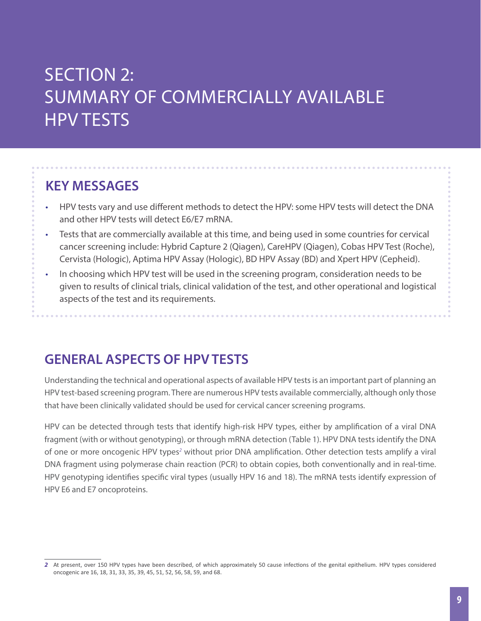# SECTION 2: SUMMARY OF COMMERCIALLY AVAILABLE HPV TESTS

# **KEY MESSAGES**

- HPV tests vary and use different methods to detect the HPV: some HPV tests will detect the DNA and other HPV tests will detect E6/E7 mRNA.
- Tests that are commercially available at this time, and being used in some countries for cervical cancer screening include: Hybrid Capture 2 (Qiagen), CareHPV (Qiagen), Cobas HPV Test (Roche), Cervista (Hologic), Aptima HPV Assay (Hologic), BD HPV Assay (BD) and Xpert HPV (Cepheid).
- In choosing which HPV test will be used in the screening program, consideration needs to be given to results of clinical trials, clinical validation of the test, and other operational and logistical aspects of the test and its requirements.

# **GENERAL ASPECTS OF HPV TESTS**

Understanding the technical and operational aspects of available HPV tests is an important part of planning an HPV test-based screening program. There are numerous HPV tests available commercially, although only those that have been clinically validated should be used for cervical cancer screening programs.

HPV can be detected through tests that identify high-risk HPV types, either by amplification of a viral DNA fragment (with or without genotyping), or through mRNA detection (Table 1). HPV DNA tests identify the DNA of one or more oncogenic HPV types<sup>2</sup> without prior DNA amplification. Other detection tests amplify a viral DNA fragment using polymerase chain reaction (PCR) to obtain copies, both conventionally and in real-time. HPV genotyping identifies specific viral types (usually HPV 16 and 18). The mRNA tests identify expression of HPV E6 and E7 oncoproteins.

*<sup>2</sup>* At present, over 150 HPV types have been described, of which approximately 50 cause infections of the genital epithelium. HPV types considered oncogenic are 16, 18, 31, 33, 35, 39, 45, 51, 52, 56, 58, 59, and 68.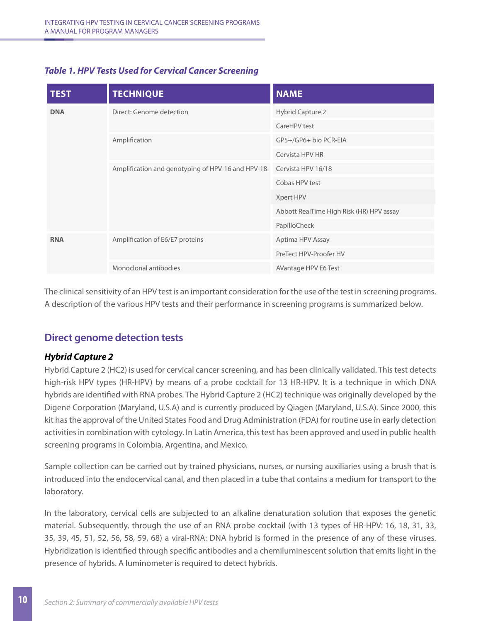#### *Table 1. HPV Tests Used for Cervical Cancer Screening*

| <b>TEST</b> | <b>TECHNIQUE</b>                                  | <b>NAME</b>                              |
|-------------|---------------------------------------------------|------------------------------------------|
| <b>DNA</b>  | Direct: Genome detection                          | <b>Hybrid Capture 2</b>                  |
|             |                                                   | CareHPV test                             |
|             | Amplification                                     | GP5+/GP6+ bio PCR-EIA                    |
|             |                                                   | Cervista HPV HR                          |
|             | Amplification and genotyping of HPV-16 and HPV-18 | Cervista HPV 16/18                       |
|             |                                                   | Cobas HPV test                           |
|             |                                                   | Xpert HPV                                |
|             |                                                   | Abbott RealTime High Risk (HR) HPV assay |
|             |                                                   | PapilloCheck                             |
| <b>RNA</b>  | Amplification of E6/E7 proteins                   | Aptima HPV Assay                         |
|             |                                                   | PreTect HPV-Proofer HV                   |
|             | Monoclonal antibodies                             | AVantage HPV E6 Test                     |

The clinical sensitivity of an HPV test is an important consideration for the use of the test in screening programs. A description of the various HPV tests and their performance in screening programs is summarized below.

# **Direct genome detection tests**

#### *Hybrid Capture 2*

Hybrid Capture 2 (HC2) is used for cervical cancer screening, and has been clinically validated. This test detects high-risk HPV types (HR-HPV) by means of a probe cocktail for 13 HR-HPV. It is a technique in which DNA hybrids are identified with RNA probes. The Hybrid Capture 2 (HC2) technique was originally developed by the Digene Corporation (Maryland, U.S.A) and is currently produced by Qiagen (Maryland, U.S.A). Since 2000, this kit has the approval of the United States Food and Drug Administration (FDA) for routine use in early detection activities in combination with cytology. In Latin America, this test has been approved and used in public health screening programs in Colombia, Argentina, and Mexico.

Sample collection can be carried out by trained physicians, nurses, or nursing auxiliaries using a brush that is introduced into the endocervical canal, and then placed in a tube that contains a medium for transport to the laboratory.

In the laboratory, cervical cells are subjected to an alkaline denaturation solution that exposes the genetic material. Subsequently, through the use of an RNA probe cocktail (with 13 types of HR-HPV: 16, 18, 31, 33, 35, 39, 45, 51, 52, 56, 58, 59, 68) a viral-RNA: DNA hybrid is formed in the presence of any of these viruses. Hybridization is identified through specific antibodies and a chemiluminescent solution that emits light in the presence of hybrids. A luminometer is required to detect hybrids.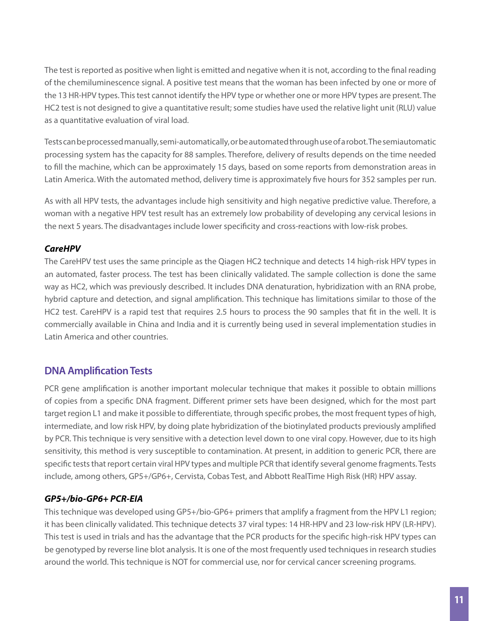The test is reported as positive when light is emitted and negative when it is not, according to the final reading of the chemiluminescence signal. A positive test means that the woman has been infected by one or more of the 13 HR-HPV types. This test cannot identify the HPV type or whether one or more HPV types are present. The HC2 test is not designed to give a quantitative result; some studies have used the relative light unit (RLU) value as a quantitative evaluation of viral load.

Tests can be processed manually, semi-automatically, or be automated through use of a robot. The semiautomatic processing system has the capacity for 88 samples. Therefore, delivery of results depends on the time needed to fill the machine, which can be approximately 15 days, based on some reports from demonstration areas in Latin America. With the automated method, delivery time is approximately five hours for 352 samples per run.

As with all HPV tests, the advantages include high sensitivity and high negative predictive value. Therefore, a woman with a negative HPV test result has an extremely low probability of developing any cervical lesions in the next 5 years. The disadvantages include lower specificity and cross-reactions with low-risk probes.

#### *CareHPV*

The CareHPV test uses the same principle as the Qiagen HC2 technique and detects 14 high-risk HPV types in an automated, faster process. The test has been clinically validated. The sample collection is done the same way as HC2, which was previously described. It includes DNA denaturation, hybridization with an RNA probe, hybrid capture and detection, and signal amplification. This technique has limitations similar to those of the HC2 test. CareHPV is a rapid test that requires 2.5 hours to process the 90 samples that fit in the well. It is commercially available in China and India and it is currently being used in several implementation studies in Latin America and other countries.

# **DNA Amplification Tests**

PCR gene amplification is another important molecular technique that makes it possible to obtain millions of copies from a specific DNA fragment. Different primer sets have been designed, which for the most part target region L1 and make it possible to differentiate, through specific probes, the most frequent types of high, intermediate, and low risk HPV, by doing plate hybridization of the biotinylated products previously amplified by PCR. This technique is very sensitive with a detection level down to one viral copy. However, due to its high sensitivity, this method is very susceptible to contamination. At present, in addition to generic PCR, there are specific tests that report certain viral HPV types and multiple PCR that identify several genome fragments. Tests include, among others, GP5+/GP6+, Cervista, Cobas Test, and Abbott RealTime High Risk (HR) HPV assay.

#### *GP5+/bio-GP6+ PCR-EIA*

This technique was developed using GP5+/bio-GP6+ primers that amplify a fragment from the HPV L1 region; it has been clinically validated. This technique detects 37 viral types: 14 HR-HPV and 23 low-risk HPV (LR-HPV). This test is used in trials and has the advantage that the PCR products for the specific high-risk HPV types can be genotyped by reverse line blot analysis. It is one of the most frequently used techniques in research studies around the world. This technique is NOT for commercial use, nor for cervical cancer screening programs.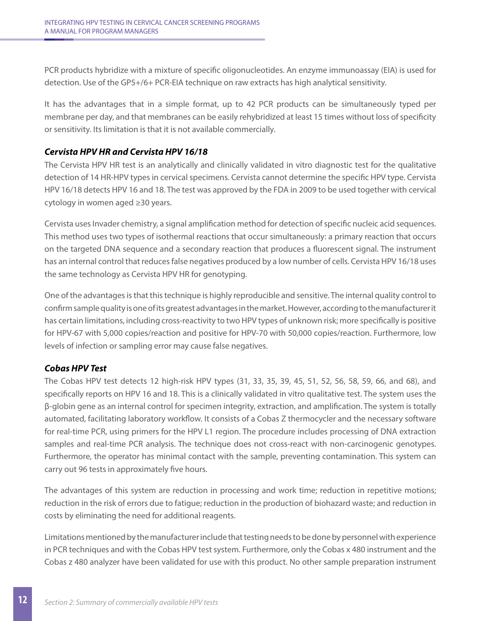PCR products hybridize with a mixture of specific oligonucleotides. An enzyme immunoassay (EIA) is used for detection. Use of the GP5+/6+ PCR-EIA technique on raw extracts has high analytical sensitivity.

It has the advantages that in a simple format, up to 42 PCR products can be simultaneously typed per membrane per day, and that membranes can be easily rehybridized at least 15 times without loss of specificity or sensitivity. Its limitation is that it is not available commercially.

#### *Cervista HPV HR and Cervista HPV 16/18*

The Cervista HPV HR test is an analytically and clinically validated in vitro diagnostic test for the qualitative detection of 14 HR-HPV types in cervical specimens. Cervista cannot determine the specific HPV type. Cervista HPV 16/18 detects HPV 16 and 18. The test was approved by the FDA in 2009 to be used together with cervical cytology in women aged ≥30 years.

Cervista uses Invader chemistry, a signal amplification method for detection of specific nucleic acid sequences. This method uses two types of isothermal reactions that occur simultaneously: a primary reaction that occurs on the targeted DNA sequence and a secondary reaction that produces a fluorescent signal. The instrument has an internal control that reduces false negatives produced by a low number of cells. Cervista HPV 16/18 uses the same technology as Cervista HPV HR for genotyping.

One of the advantages is that this technique is highly reproducible and sensitive. The internal quality control to confirm sample quality is one of its greatest advantages in the market. However, according to the manufacturer it has certain limitations, including cross-reactivity to two HPV types of unknown risk; more specifically is positive for HPV-67 with 5,000 copies/reaction and positive for HPV-70 with 50,000 copies/reaction. Furthermore, low levels of infection or sampling error may cause false negatives.

#### *Cobas HPV Test*

The Cobas HPV test detects 12 high-risk HPV types (31, 33, 35, 39, 45, 51, 52, 56, 58, 59, 66, and 68), and specifically reports on HPV 16 and 18. This is a clinically validated in vitro qualitative test. The system uses the β-globin gene as an internal control for specimen integrity, extraction, and amplification. The system is totally automated, facilitating laboratory workflow. It consists of a Cobas Z thermocycler and the necessary software for real-time PCR, using primers for the HPV L1 region. The procedure includes processing of DNA extraction samples and real-time PCR analysis. The technique does not cross-react with non-carcinogenic genotypes. Furthermore, the operator has minimal contact with the sample, preventing contamination. This system can carry out 96 tests in approximately five hours.

The advantages of this system are reduction in processing and work time; reduction in repetitive motions; reduction in the risk of errors due to fatigue; reduction in the production of biohazard waste; and reduction in costs by eliminating the need for additional reagents.

Limitations mentioned by the manufacturer include that testing needs to be done by personnel with experience in PCR techniques and with the Cobas HPV test system. Furthermore, only the Cobas x 480 instrument and the Cobas z 480 analyzer have been validated for use with this product. No other sample preparation instrument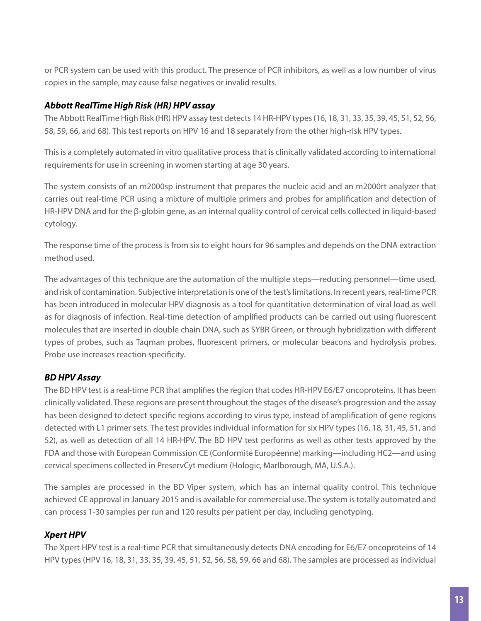or PCR system can be used with this product. The presence of PCR inhibitors, as well as a low number of virus copies in the sample, may cause false negatives or invalid results.

#### *Abbott RealTime High Risk (HR) HPV assay*

The Abbott RealTime High Risk (HR) HPV assay test detects 14 HR-HPV types (16, 18, 31, 33, 35, 39, 45, 51, 52, 56, 58, 59, 66, and 68). This test reports on HPV 16 and 18 separately from the other high-risk HPV types.

This is a completely automated in vitro qualitative process that is clinically validated according to international requirements for use in screening in women starting at age 30 years.

The system consists of an m2000sp instrument that prepares the nucleic acid and an m2000rt analyzer that carries out real-time PCR using a mixture of multiple primers and probes for amplification and detection of HR-HPV DNA and for the β-globin gene, as an internal quality control of cervical cells collected in liquid-based cytology.

The response time of the process is from six to eight hours for 96 samples and depends on the DNA extraction method used.

The advantages of this technique are the automation of the multiple steps—reducing personnel—time used, and risk of contamination. Subjective interpretation is one of the test's limitations. In recent years, real-time PCR has been introduced in molecular HPV diagnosis as a tool for quantitative determination of viral load as well as for diagnosis of infection. Real-time detection of amplified products can be carried out using fluorescent molecules that are inserted in double chain DNA, such as SYBR Green, or through hybridization with different types of probes, such as Taqman probes, fluorescent primers, or molecular beacons and hydrolysis probes. Probe use increases reaction specificity.

#### *BD HPV Assay*

The BD HPV test is a real-time PCR that amplifies the region that codes HR-HPV E6/E7 oncoproteins. It has been clinically validated. These regions are present throughout the stages of the disease's progression and the assay has been designed to detect specific regions according to virus type, instead of amplification of gene regions detected with L1 primer sets. The test provides individual information for six HPV types (16, 18, 31, 45, 51, and 52), as well as detection of all 14 HR-HPV. The BD HPV test performs as well as other tests approved by the FDA and those with European Commission CE (Conformité Européenne) marking—including HC2—and using cervical specimens collected in PreservCyt medium (Hologic, Marlborough, MA, U.S.A.).

The samples are processed in the BD Viper system, which has an internal quality control. This technique achieved CE approval in January 2015 and is available for commercial use. The system is totally automated and can process 1-30 samples per run and 120 results per patient per day, including genotyping.

# *Xpert HPV*

The Xpert HPV test is a real-time PCR that simultaneously detects DNA encoding for E6/E7 oncoproteins of 14 HPV types (HPV 16, 18, 31, 33, 35, 39, 45, 51, 52, 56, 58, 59, 66 and 68). The samples are processed as individual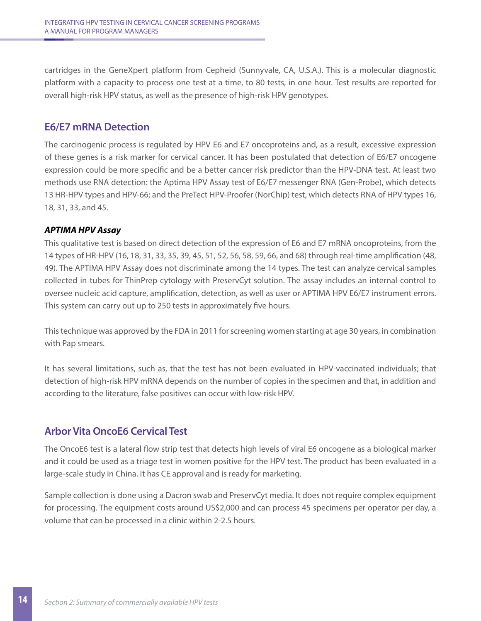cartridges in the GeneXpert platform from Cepheid (Sunnyvale, CA, U.S.A.). This is a molecular diagnostic platform with a capacity to process one test at a time, to 80 tests, in one hour. Test results are reported for overall high-risk HPV status, as well as the presence of high-risk HPV genotypes.

#### **E6/E7 mRNA Detection**

The carcinogenic process is regulated by HPV E6 and E7 oncoproteins and, as a result, excessive expression of these genes is a risk marker for cervical cancer. It has been postulated that detection of E6/E7 oncogene expression could be more specific and be a better cancer risk predictor than the HPV-DNA test. At least two methods use RNA detection: the Aptima HPV Assay test of E6/E7 messenger RNA (Gen-Probe), which detects 13 HR-HPV types and HPV-66; and the PreTect HPV-Proofer (NorChip) test, which detects RNA of HPV types 16, 18, 31, 33, and 45.

#### *APTIMA HPV Assay*

This qualitative test is based on direct detection of the expression of E6 and E7 mRNA oncoproteins, from the 14 types of HR-HPV (16, 18, 31, 33, 35, 39, 45, 51, 52, 56, 58, 59, 66, and 68) through real-time amplification (48, 49). The APTIMA HPV Assay does not discriminate among the 14 types. The test can analyze cervical samples collected in tubes for ThinPrep cytology with PreservCyt solution. The assay includes an internal control to oversee nucleic acid capture, amplification, detection, as well as user or APTIMA HPV E6/E7 instrument errors. This system can carry out up to 250 tests in approximately five hours.

This technique was approved by the FDA in 2011 for screening women starting at age 30 years, in combination with Pap smears.

It has several limitations, such as, that the test has not been evaluated in HPV-vaccinated individuals; that detection of high-risk HPV mRNA depends on the number of copies in the specimen and that, in addition and according to the literature, false positives can occur with low-risk HPV.

# **Arbor Vita OncoE6 Cervical Test**

The OncoE6 test is a lateral flow strip test that detects high levels of viral E6 oncogene as a biological marker and it could be used as a triage test in women positive for the HPV test. The product has been evaluated in a large-scale study in China. It has CE approval and is ready for marketing.

Sample collection is done using a Dacron swab and PreservCyt media. It does not require complex equipment for processing. The equipment costs around US\$2,000 and can process 45 specimens per operator per day, a volume that can be processed in a clinic within 2-2.5 hours.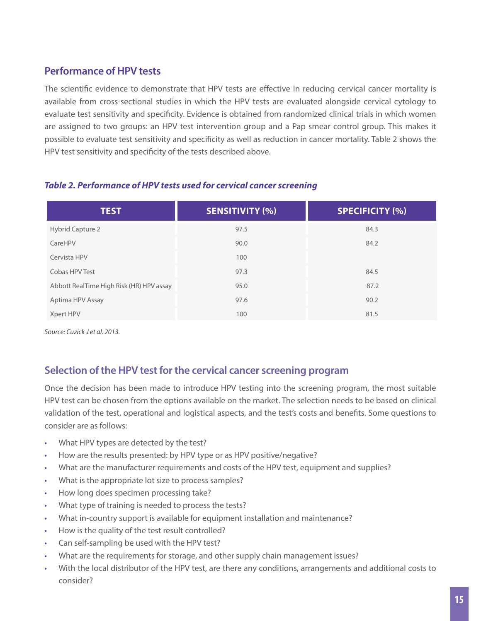# **Performance of HPV tests**

The scientific evidence to demonstrate that HPV tests are effective in reducing cervical cancer mortality is available from cross-sectional studies in which the HPV tests are evaluated alongside cervical cytology to evaluate test sensitivity and specificity. Evidence is obtained from randomized clinical trials in which women are assigned to two groups: an HPV test intervention group and a Pap smear control group. This makes it possible to evaluate test sensitivity and specificity as well as reduction in cancer mortality. Table 2 shows the HPV test sensitivity and specificity of the tests described above.

# **TEST SENSITIVITY (%) SPECIFICITY (%)** Hybrid Capture 2 97.5 84.3 CareHPV 84.2 Cervista HPV 100 Cobas HPV Test 97.3 84.5 Abbott RealTime High Risk (HR) HPV assay 95.0 87.2 Aptima HPV Assay 97.6 90.2  $\lambda$ pert HPV  $\hphantom{i^{2}}$  81.5  $\hphantom{i^{2}}$

#### *Table 2. Performance of HPV tests used for cervical cancer screening*

*Source: Cuzick J et al. 2013.*

# **Selection of the HPV test for the cervical cancer screening program**

Once the decision has been made to introduce HPV testing into the screening program, the most suitable HPV test can be chosen from the options available on the market. The selection needs to be based on clinical validation of the test, operational and logistical aspects, and the test's costs and benefits. Some questions to consider are as follows:

- What HPV types are detected by the test?
- How are the results presented: by HPV type or as HPV positive/negative?
- What are the manufacturer requirements and costs of the HPV test, equipment and supplies?
- What is the appropriate lot size to process samples?
- How long does specimen processing take?
- What type of training is needed to process the tests?
- What in-country support is available for equipment installation and maintenance?
- How is the quality of the test result controlled?
- Can self-sampling be used with the HPV test?
- What are the requirements for storage, and other supply chain management issues?
- With the local distributor of the HPV test, are there any conditions, arrangements and additional costs to consider?